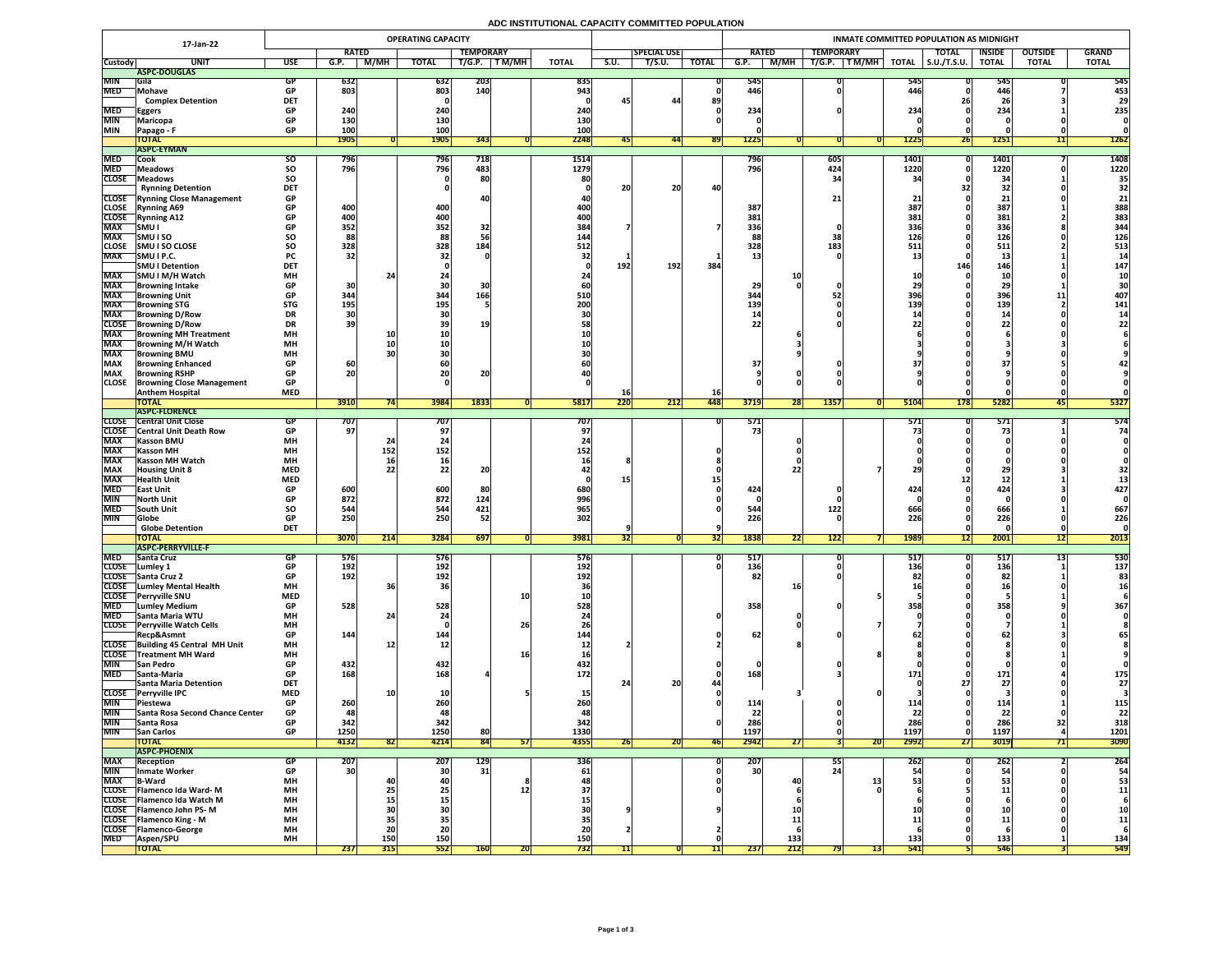# **ADC INSTITUTIONAL CAPACITY COMMITTED POPULATION**

|                              | 17-Jan-22                                              | <b>OPERATING CAPACITY</b> |              |                   |                 |                  |                 |                         |             |                    |              | INMATE COMMITTED POPULATION AS MIDNIGHT |                          |                               |                   |                     |                           |                |              |  |  |  |  |
|------------------------------|--------------------------------------------------------|---------------------------|--------------|-------------------|-----------------|------------------|-----------------|-------------------------|-------------|--------------------|--------------|-----------------------------------------|--------------------------|-------------------------------|-------------------|---------------------|---------------------------|----------------|--------------|--|--|--|--|
|                              |                                                        |                           | <b>RATED</b> |                   |                 | <b>TEMPORARY</b> |                 |                         |             | <b>SPECIAL USE</b> |              | <b>RATED</b>                            |                          | <b>TEMPORARY</b>              |                   | <b>TOTAL</b>        | <b>INSIDE</b>             | <b>OUTSIDE</b> | <b>GRAND</b> |  |  |  |  |
| <b>Custody</b>               | <b>UNIT</b>                                            | <b>USE</b>                | G.P.         | <b>M/MH</b>       | <b>TOTAL</b>    | T/G.P.           | T M/MH          | <b>TOTAL</b>            | <b>S.U.</b> | T/S.U.             | <b>TOTAL</b> | G.P.                                    | M/MH                     | T/G.P.<br>$\top$ TM/MH $\top$ | <b>TOTAL</b>      | $\vert$ S.U./T.S.U. | <b>TOTAL</b>              | <b>TOTAL</b>   | <b>TOTAL</b> |  |  |  |  |
| <b>MIN</b>                   | ASPC-DOUGLAS                                           |                           |              |                   |                 |                  |                 |                         |             |                    |              |                                         |                          |                               |                   |                     |                           |                |              |  |  |  |  |
| <b>MED</b>                   | <b>Sila</b><br>Mohave                                  | <b>GP</b>                 | 632<br>803   |                   | 632<br>803      | 203<br>140       |                 | 835<br>943 <sub>1</sub> |             |                    |              | 545<br>446                              |                          |                               | <b>545</b><br>446 |                     | 545<br>446                |                | 545<br>453   |  |  |  |  |
|                              | <b>Complex Detention</b>                               | <b>DET</b>                |              |                   |                 |                  |                 |                         |             | 44                 | 89           |                                         |                          |                               |                   |                     | 26                        |                | 29           |  |  |  |  |
| <b>MED</b>                   | <b>Eggers</b>                                          | <b>GP</b>                 | 240          |                   | 240             |                  |                 | 240                     |             |                    |              | 234                                     |                          |                               | 234               |                     | 234                       |                | 235          |  |  |  |  |
| <b>MIN</b>                   | Maricopa                                               | <b>GP</b>                 | 130          |                   | 130             |                  |                 | 130                     |             |                    |              |                                         |                          |                               |                   |                     |                           |                |              |  |  |  |  |
| <b>MIN</b>                   | Papago - F                                             | <b>GP</b>                 | <b>100</b>   |                   | 100             |                  |                 | 100                     |             |                    |              |                                         |                          |                               |                   |                     |                           |                |              |  |  |  |  |
|                              | <b>TOTAL</b><br><b>ASPC-EYMAN</b>                      |                           | <b>1905</b>  |                   | <b>1905</b>     | 343              |                 | 2248                    |             | 441                | <b>891</b>   | <b>1225</b>                             |                          |                               | <b>1225</b>       | 26                  | <b>1251</b>               | 11             | <b>1262</b>  |  |  |  |  |
| <b>MED</b>                   | Cook                                                   | SO.                       | 796          |                   | <b>796</b>      | 718              |                 | 1514                    |             |                    |              | 796                                     |                          | 605                           | <b>1401</b>       |                     | 1401                      |                | 1408         |  |  |  |  |
| <b>MED</b>                   | <b>Meadows</b>                                         | <b>SO</b>                 | 796          |                   | 796             | 483              |                 | 1279                    |             |                    |              | 796                                     |                          | 424                           | 1220              |                     | 1220                      |                | 1220         |  |  |  |  |
| <b>CLOSE</b>                 | Meadows                                                | SO                        |              |                   |                 | 80               |                 | 80                      |             |                    |              |                                         |                          |                               | 21                |                     | $\mathbf{R}$              |                | 35           |  |  |  |  |
|                              | <b>Rynning Detention</b>                               | <b>DET</b>                |              |                   |                 |                  |                 |                         | 20          | 20                 | 40           |                                         |                          |                               |                   |                     | 32                        |                | 32           |  |  |  |  |
|                              | <b>CLOSE</b> Rynning Close Management                  | <b>GP</b>                 |              |                   |                 |                  |                 |                         |             |                    |              |                                         |                          | 21 <sub>1</sub>               |                   |                     |                           |                | 21           |  |  |  |  |
| <b>CLOSE</b><br><b>CLOSE</b> | <b>Rynning A69</b><br>Rynning A12                      | <b>GP</b><br><b>GP</b>    | 400<br>400   |                   | 400<br>400      |                  |                 | 400 <br>400             |             |                    |              | 387<br>381                              |                          |                               | 387<br>381        |                     | 387<br>381                |                | 388<br>383   |  |  |  |  |
| <b>MAX</b>                   | SMU                                                    | <b>GP</b>                 | 352          |                   | 352             | 32               |                 | 384                     |             |                    |              | 336                                     |                          |                               | 336               |                     | 336                       |                | 344          |  |  |  |  |
| <b>MAX</b>                   | <b>SMUISO</b>                                          | SO                        | 88           |                   | 88              |                  |                 | 144                     |             |                    |              |                                         |                          | 38                            | 126               |                     | 126                       |                | 126          |  |  |  |  |
| <b>CLOSE</b>                 | <b>SMU I SO CLOSE</b>                                  | <b>SO</b>                 | 328          |                   | 328             | 184              |                 | 512                     |             |                    |              | 328                                     |                          | 183                           | 511               |                     | 511                       |                | 513          |  |  |  |  |
| <b>MAX</b>                   | SMU I P.C.                                             | <b>PC</b>                 | 32           |                   |                 |                  |                 |                         |             |                    |              |                                         |                          |                               |                   |                     | ᅩ                         |                |              |  |  |  |  |
|                              | <b>SMU I Detention</b>                                 | <b>DET</b>                |              |                   |                 |                  |                 |                         | 192         | 192                | 384          |                                         |                          |                               |                   | 146                 | 146                       |                | 147          |  |  |  |  |
| <b>MAX</b><br><b>MAX</b>     | SMU I M/H Watch<br><b>Browning Intake</b>              | <b>MH</b><br><b>GP</b>    | 30           |                   |                 |                  |                 |                         |             |                    |              | 29                                      |                          |                               |                   |                     | $\overline{2}$            |                |              |  |  |  |  |
| <b>MAX</b>                   | <b>Browning Unit</b>                                   | <b>GP</b>                 | 344          |                   | 344             | 166              |                 | 510                     |             |                    |              | 344                                     |                          |                               | 396               |                     | LJ<br>396                 | ᆂᆂ             | 407          |  |  |  |  |
| <b>MAX</b>                   | <b>Browning STG</b>                                    | <b>STG</b>                | <b>195</b>   |                   | 195             |                  |                 | 200                     |             |                    |              | 139                                     |                          |                               | 139               |                     | 139                       |                | 141          |  |  |  |  |
| <b>MAX</b>                   | <b>Browning D/Row</b>                                  | <b>DR</b>                 |              |                   |                 |                  |                 |                         |             |                    |              |                                         |                          |                               |                   |                     |                           |                |              |  |  |  |  |
| <b>CLOSE</b>                 | <b>Browning D/Row</b>                                  | <b>DR</b>                 | 39           |                   |                 | <b>19</b>        |                 |                         |             |                    |              | 22                                      |                          |                               |                   |                     |                           |                |              |  |  |  |  |
| <b>MAX</b>                   | <b>Browning MH Treatment</b>                           | <b>MH</b>                 |              | <b>10</b>         |                 |                  |                 |                         |             |                    |              |                                         |                          |                               |                   |                     |                           |                |              |  |  |  |  |
| <b>MAX</b><br><b>MAX</b>     | <b>Browning M/H Watch</b><br><b>Browning BMU</b>       | <b>MH</b><br><b>MH</b>    |              |                   |                 |                  |                 |                         |             |                    |              |                                         |                          |                               |                   |                     |                           |                |              |  |  |  |  |
| <b>MAX</b>                   | <b>Browning Enhanced</b>                               | <b>GP</b>                 | 60           |                   |                 |                  |                 |                         |             |                    |              | 37                                      |                          |                               |                   |                     |                           |                |              |  |  |  |  |
| <b>MAX</b>                   | <b>Browning RSHP</b>                                   | <b>GP</b>                 | 20           |                   | ZU              | nn.<br>ZU        |                 |                         |             |                    |              |                                         |                          |                               |                   |                     |                           |                |              |  |  |  |  |
| <b>CLOSE</b>                 | <b>Browning Close Management</b>                       | <b>GP</b>                 |              |                   |                 |                  |                 |                         |             |                    |              |                                         |                          |                               |                   |                     |                           |                |              |  |  |  |  |
|                              | <b>Anthem Hospital</b>                                 | <b>MED</b>                |              |                   |                 |                  |                 |                         | TO          |                    | <b>16</b>    |                                         |                          |                               |                   |                     |                           |                |              |  |  |  |  |
|                              | <b>TOTAL</b><br><b>TASPC-FLORENCE</b>                  |                           | 3910         |                   | 3984            | 1833             |                 | 5817                    | 220         | 212                | 448          | 3719                                    | <b>28</b>                | <b>1357</b>                   | 5104              | <b>178</b>          | 5282                      | 451            | 5327         |  |  |  |  |
| <b>CLOSE</b>                 | <b>Central Unit Close</b>                              |                           | 707          |                   | 707             |                  |                 | 707                     |             |                    |              | 571                                     |                          |                               | 571               |                     | 571                       |                | 574          |  |  |  |  |
|                              | <b>CLOSE</b> Central Unit Death Row                    |                           | 97           |                   |                 |                  |                 |                         |             |                    |              |                                         |                          |                               |                   |                     |                           |                | 74           |  |  |  |  |
| <b>MAX</b>                   | <b>Kasson BMU</b>                                      | <b>MH</b>                 |              |                   |                 |                  |                 |                         |             |                    |              |                                         |                          |                               |                   |                     |                           |                |              |  |  |  |  |
| <b>MAX</b>                   | <b>Kasson MH</b>                                       | <b>MH</b>                 |              | 152               | 152             |                  |                 | 152                     |             |                    |              |                                         |                          |                               |                   |                     |                           |                |              |  |  |  |  |
| <b>MAX</b>                   | <b>Kasson MH Watch</b>                                 | <b>MH</b>                 |              | <b>16</b>         |                 | CO.              |                 |                         |             |                    |              |                                         |                          |                               |                   |                     |                           |                |              |  |  |  |  |
| <b>MAX</b><br><b>MAX</b>     | <b>Housing Unit 8</b><br><b>Health Unit</b>            | <b>MED</b><br><b>MED</b>  |              |                   | 22 <sub>1</sub> |                  |                 |                         |             |                    |              |                                         |                          |                               |                   |                     |                           |                |              |  |  |  |  |
| <b>MED</b>                   | <b>East Unit</b>                                       |                           | 600          |                   | 600             | 80               |                 | 680                     |             |                    |              | 424                                     |                          |                               | 424               |                     | 424                       |                | 427          |  |  |  |  |
| <b>MIN</b>                   | North Unit                                             |                           | 872          |                   | 872             | 124              |                 | 996                     |             |                    |              |                                         |                          |                               |                   |                     |                           |                |              |  |  |  |  |
| <b>MED</b>                   | <b>South Unit</b>                                      | <b>SO</b>                 | 544          |                   | 544             | 421              |                 | 965                     |             |                    |              | 544                                     |                          | 122                           | 666               |                     | 666                       |                | 667          |  |  |  |  |
| <b>MIN</b>                   | <b>Globe</b>                                           |                           | 250          |                   | 250             | 52               |                 | 302                     |             |                    |              | 226                                     |                          |                               | 226               |                     | 226                       |                | 226          |  |  |  |  |
|                              | <b>Globe Detention</b><br><b>TOTAL</b>                 | <b>DET</b>                | 3070         | 214               | 3284            | 697              |                 | 3981                    |             |                    |              | 1838                                    | $\overline{\phantom{a}}$ | 122                           | <b>1989</b>       |                     | 2001                      | 12             | 2013         |  |  |  |  |
|                              | <b>ASPC-PERRYVILLE-F</b>                               |                           |              |                   |                 |                  |                 |                         | 32          |                    | [32]         |                                         | 22                       |                               |                   | 1ZI                 |                           |                |              |  |  |  |  |
| <b>MED</b>                   | <b>Santa Cruz</b>                                      | GP                        | 576          |                   | 576             |                  |                 | <b>576</b>              |             |                    |              | 517                                     |                          |                               | 517               |                     | 517                       |                | 530          |  |  |  |  |
| <b>CLOSE</b>                 | Lumley 1                                               |                           | 192          |                   | 192             |                  |                 | 192                     |             |                    |              | 136                                     |                          |                               | 136               |                     | 136                       |                | 137          |  |  |  |  |
|                              | CLOSE Santa Cruz 2                                     | <b>GP</b>                 | 192          |                   | 192             |                  |                 | 192                     |             |                    |              | 82                                      |                          |                               |                   |                     | 82                        |                |              |  |  |  |  |
| <b>CLOSE</b><br><b>CLOSE</b> | Lumley Mental Health<br><b>Perryville SNU</b>          | <b>MH</b><br><b>MED</b>   |              |                   |                 |                  | <b>10</b>       |                         |             |                    |              |                                         |                          |                               |                   |                     |                           |                |              |  |  |  |  |
| <b>MED</b>                   | <b>Lumley Medium</b>                                   | <b>GP</b>                 | 528          |                   | 528             |                  |                 | 528                     |             |                    |              | 358                                     |                          |                               | 358               |                     | 358                       |                | 367          |  |  |  |  |
| <b>MED</b>                   | Santa Maria WTU                                        | <b>MH</b>                 |              |                   |                 |                  |                 |                         |             |                    |              |                                         |                          |                               |                   |                     |                           |                |              |  |  |  |  |
| <b>CLOSE</b>                 | <b>Perryville Watch Cells</b>                          | <b>MH</b>                 |              |                   |                 |                  | 26              |                         |             |                    |              |                                         |                          |                               |                   |                     |                           |                |              |  |  |  |  |
|                              | Recp&Asmnt                                             | <b>GP</b>                 | 144          |                   | 144             |                  |                 | 144                     |             |                    |              | 62                                      |                          |                               |                   |                     |                           |                |              |  |  |  |  |
| <b>CLOSE</b>                 | CLOSE Building 45 Central MH Unit<br>Treatment MH Ward | <b>MH</b><br><b>MH</b>    |              |                   | TV-             |                  |                 |                         |             |                    |              |                                         |                          |                               |                   |                     |                           |                |              |  |  |  |  |
| <b>MIN</b>                   | <b>San Pedro</b>                                       | <b>GP</b>                 | 432          |                   | 432             |                  |                 | 432                     |             |                    |              |                                         |                          |                               |                   |                     |                           |                |              |  |  |  |  |
| <b>MED</b>                   | <b>Santa-Maria</b>                                     | <b>GP</b>                 | 168          |                   | 168             |                  |                 | 172 <sub>1</sub>        |             |                    |              | 168                                     |                          |                               |                   |                     | 171                       |                | 175          |  |  |  |  |
|                              | Santa Maria Detention                                  | <b>DET</b>                |              |                   |                 |                  |                 |                         |             | 20                 |              |                                         |                          |                               |                   |                     |                           |                | 27           |  |  |  |  |
|                              | CLOSE Perryville IPC                                   | <b>MED</b>                |              |                   |                 |                  |                 |                         |             |                    |              |                                         |                          |                               |                   |                     |                           |                |              |  |  |  |  |
| <b>MIN</b>                   | <b>Piestewa</b>                                        |                           | 260          |                   | 260             |                  |                 |                         |             |                    |              | 114                                     |                          |                               | __<br>ີ່          |                     | <b>114</b>                |                | <u> 115</u>  |  |  |  |  |
| <b>MIN</b><br><b>MIN</b>     | <b>Santa Rosa Second Chance Center</b>                 | <b>GP</b>                 | 48<br>342    |                   | 48<br>342       |                  |                 | 48<br>342               |             |                    |              | 22<br>286                               |                          |                               | 286               |                     | 22<br>286                 |                | 22<br>318    |  |  |  |  |
| <b>MIN</b>                   | Santa Rosa<br><b>San Carlos</b>                        | <b>GP</b>                 | 1250         |                   | 1250            | 80               |                 | 1330                    |             |                    |              | 1197                                    |                          |                               | <b>1197</b>       |                     | 1197                      |                | 1201         |  |  |  |  |
|                              | <b>TOTAL</b>                                           |                           | 4132         | 821               | 4214            | 84               | 57 <sub>1</sub> | 4355                    | <b>26</b>   | ZUI                | <b>46</b>    | 2942                                    | $\boldsymbol{Z}$         | 20                            | 2992              | <b>271</b>          | 3019                      |                | 3090         |  |  |  |  |
|                              | <b>ASPC-PHOENIX</b>                                    |                           |              |                   |                 |                  |                 |                         |             |                    |              |                                         |                          |                               |                   |                     |                           |                |              |  |  |  |  |
| <b>MAX</b>                   | Reception                                              | GP                        | <b>207</b>   |                   | 207             | <b>129</b>       |                 | 336                     |             |                    |              | 207                                     |                          | 55                            | <b>2621</b>       |                     | 262                       |                | 264          |  |  |  |  |
| <b>MIN</b>                   | <b>Inmate Worker</b>                                   | <b>GP</b>                 | 30           |                   | 30 <sup>1</sup> | 31               |                 | 61                      |             |                    |              | 30 <sup>1</sup>                         |                          | Z4                            |                   |                     | $\mathbf{F}_{\mathbf{z}}$ |                |              |  |  |  |  |
| <b>MAX</b>                   | <b>B-Ward</b><br>CLOSE   Flamenco Ida Ward-M           | <b>MH</b><br><b>MH</b>    |              |                   | <b>Z5</b>       |                  |                 |                         |             |                    |              |                                         | 40                       |                               |                   |                     |                           |                | 53<br>11     |  |  |  |  |
|                              | CLOSE   Flamenco Ida Watch M                           | <b>MH</b>                 |              | Z J               |                 |                  |                 |                         |             |                    |              |                                         |                          |                               |                   |                     |                           |                |              |  |  |  |  |
|                              | CLOSE   Flamenco John PS-M                             | <b>MH</b>                 |              |                   |                 |                  |                 |                         |             |                    |              |                                         |                          |                               |                   |                     |                           |                | <b>10</b>    |  |  |  |  |
|                              | <b>CLOSE</b> Flamenco King - M                         | <b>MH</b>                 |              |                   |                 |                  |                 |                         |             |                    |              |                                         |                          |                               |                   |                     |                           |                | 11           |  |  |  |  |
| <b>CLOSE</b>                 | <b>Telamenco-George</b>                                | <b>MH</b>                 |              | ZU                | ZU              |                  |                 |                         |             |                    |              |                                         |                          |                               |                   |                     |                           |                |              |  |  |  |  |
| <b>MED</b>                   | <b>IAspen/SPU</b><br><b>TOTAL</b>                      | <b>MH</b>                 | 237          | <b>150</b><br>315 | 150<br>552      | <b>160</b>       |                 | 150<br>732              |             |                    |              | 237                                     | 133<br>212               | 79<br> 13                     | 133<br>541        |                     | 133<br>546                |                | 134<br>549   |  |  |  |  |
|                              |                                                        |                           |              |                   |                 |                  | <b>ZU</b>       |                         |             |                    |              |                                         |                          |                               |                   |                     |                           |                |              |  |  |  |  |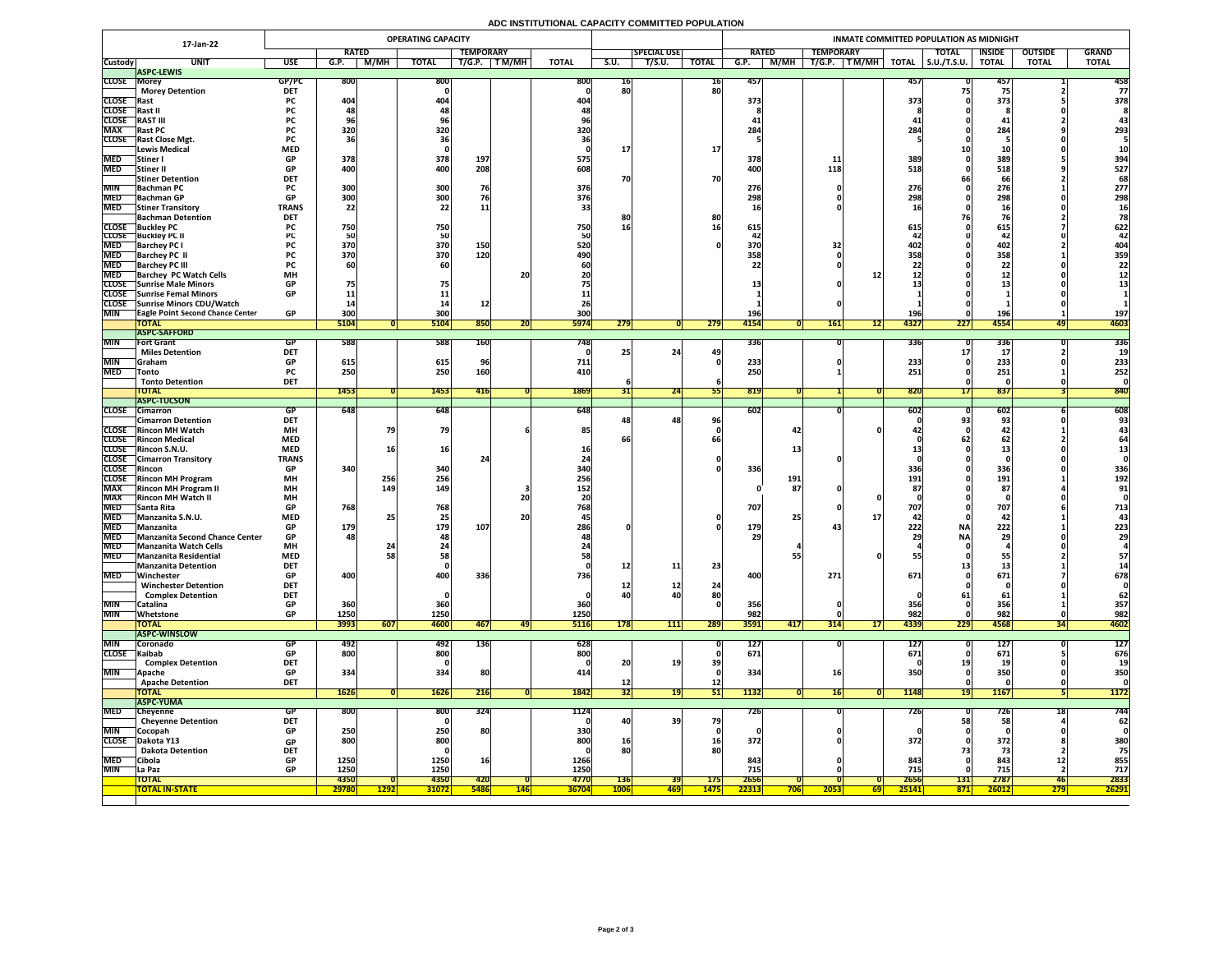# **ADC INSTITUTIONAL CAPACITY COMMITTED POPULATION**

|                          | 17-Jan-22                                                 |                         |                  |              | <b>OPERATING CAPACITY</b> |                  |            |              |             |                    |              | INMATE COMMITTED POPULATION AS MIDNIGHT |                          |              |                     |               |                |              |  |  |  |  |  |
|--------------------------|-----------------------------------------------------------|-------------------------|------------------|--------------|---------------------------|------------------|------------|--------------|-------------|--------------------|--------------|-----------------------------------------|--------------------------|--------------|---------------------|---------------|----------------|--------------|--|--|--|--|--|
|                          |                                                           |                         | <b>RATED</b>     |              |                           | <b>TEMPORARY</b> |            |              |             | <b>SPECIAL USE</b> |              | <b>RATED</b>                            | <b>TEMPORARY</b>         |              | <b>TOTAL</b>        | <b>INSIDE</b> | <b>OUTSIDE</b> | <b>GRAND</b> |  |  |  |  |  |
| <b>Custody</b>           | <b>UNIT</b>                                               | <b>USE</b>              | G.P.             | M/MH         | <b>TOTAL</b>              | T/G.P.           | T M/MH     | <b>TOTAL</b> | <b>S.U.</b> | T/S.U.             | <b>TOTAL</b> | M/MH<br>G.P.                            | TM/MH<br>T/G.P.          | <b>TOTAL</b> | $\vert$ S.U./T.S.U. | <b>TOTAL</b>  | <b>TOTAL</b>   | <b>TOTAL</b> |  |  |  |  |  |
|                          | <b>ASPC-LEWIS</b>                                         |                         |                  |              |                           |                  |            |              |             |                    |              |                                         |                          |              |                     |               |                |              |  |  |  |  |  |
| <b>CLOSE Morey</b>       | <b>Morey Detention</b>                                    | GP/PC<br><b>DET</b>     | <b>800</b>       |              | 800                       |                  |            | 800          | TP.<br>80   |                    | 16 <br>80    | 457                                     |                          | 457          |                     | 457           |                | 458<br>77    |  |  |  |  |  |
| <b>CLOSE</b> Rast        |                                                           | <b>PC</b>               | 404              |              | 404                       |                  |            | 404          |             |                    |              | 373                                     |                          | 373          |                     | 373           |                | 378          |  |  |  |  |  |
| <b>CLOSE</b>             | Rast II                                                   |                         |                  |              |                           |                  |            |              |             |                    |              |                                         |                          |              |                     |               |                |              |  |  |  |  |  |
| <b>CLOSE</b>             | <b>RAST III</b>                                           | rc -                    |                  |              | 70                        |                  |            |              |             |                    |              |                                         |                          |              |                     |               |                |              |  |  |  |  |  |
| <b>MAX</b>               | <b>Rast PC</b>                                            | <b>PC</b>               | 320              |              | 320                       |                  |            | 320          |             |                    |              | 284                                     |                          | 284          |                     | 284           |                | 293          |  |  |  |  |  |
|                          | <b>CLOSE</b> Rast Close Mgt.                              | <b>PC</b>               |                  |              |                           |                  |            |              |             |                    |              |                                         |                          |              |                     |               |                |              |  |  |  |  |  |
|                          | Lewis Medical                                             | <b>MED</b>              |                  |              |                           |                  |            |              |             |                    | <b>17</b>    |                                         |                          |              |                     |               |                |              |  |  |  |  |  |
| <b>MED</b>               | <b>Stiner</b> I                                           | <b>GP</b>               | 378              |              | 378                       | 197              |            | 575          |             |                    |              | 378                                     | <u>11</u>                | 389          |                     | 389           |                | 394          |  |  |  |  |  |
| <b>MED</b>               | <b>Stiner II</b>                                          | <b>GP</b>               | 400              |              | 400                       | 208              |            | 608.         |             |                    |              | 400                                     | 118                      | 518          |                     | 518           |                | 527          |  |  |  |  |  |
| <b>MIN</b>               | <b>Stiner Detention</b><br><b>Bachman PC</b>              | <b>DET</b>              | 300              |              | 300                       | 76               |            | 376          | 70          |                    | <b>70</b>    | 276                                     |                          | 276          |                     | 66<br>276     |                | 68<br>277    |  |  |  |  |  |
|                          | MED Bachman GP                                            | <b>GP</b>               | 300 <sub>l</sub> |              | 300                       |                  |            | 376          |             |                    |              | 798                                     |                          | 2081         |                     | 708           |                | 298          |  |  |  |  |  |
| <b>MED</b>               | <b>Stiner Transitory</b>                                  | <b>TRANS</b>            | <b>JUU</b><br>22 |              | 22                        |                  |            |              |             |                    |              | LJO                                     |                          | 230          |                     | LJO           |                |              |  |  |  |  |  |
|                          | <b>Bachman Detention</b>                                  | <b>DET</b>              |                  |              |                           |                  |            |              | 8Ľ          |                    | 80           |                                         |                          |              |                     |               |                |              |  |  |  |  |  |
|                          | <b>CLOSE</b> Buckley PC                                   |                         | 750              |              | 750                       |                  |            | 750          | 16          |                    | <b>16</b>    | 615                                     |                          | 615          |                     | 615           |                | 622          |  |  |  |  |  |
|                          | <b>CLOSE</b> Buckley PC II                                |                         |                  |              | <b>50</b>                 |                  |            |              |             |                    |              |                                         |                          |              |                     |               |                |              |  |  |  |  |  |
| <b>MED</b>               | <b>Barchey PC I</b>                                       |                         | 370              |              | 370                       | 150              |            | 520          |             |                    |              | 370                                     |                          | 402          |                     | 402           |                | 404          |  |  |  |  |  |
| <b>MED</b><br><b>MED</b> | <b>Barchey PC II</b><br><b>Barchey PC III</b>             |                         | 370              |              | 370<br>60                 | 120              |            | 490          |             |                    |              | 358                                     |                          | 358          |                     | 358           |                | 359<br>22    |  |  |  |  |  |
| <b>MED</b>               | <b>Barchey PC Watch Cells</b>                             | <b>MH</b>               |                  |              |                           |                  | 20         |              |             |                    |              |                                         |                          |              |                     |               |                |              |  |  |  |  |  |
|                          | CLOSE Sunrise Male Minors                                 | <b>GP</b>               |                  |              |                           |                  |            |              |             |                    |              |                                         |                          |              |                     | & &           |                |              |  |  |  |  |  |
|                          | CLOSE Sunrise Femal Minors                                | <b>GP</b>               |                  |              |                           |                  |            |              |             |                    |              |                                         |                          |              |                     |               |                |              |  |  |  |  |  |
|                          | CLOSE Sunrise Minors CDU/Watch                            |                         |                  |              |                           |                  |            |              |             |                    |              |                                         |                          |              |                     |               |                |              |  |  |  |  |  |
| <b>MIN</b>               | <b>TEagle Point Second Chance Center</b>                  | <b>GP</b>               | 300              |              | 300                       |                  |            | 300          |             |                    |              | 196'                                    |                          | <b>196</b>   |                     | <b>196</b>    |                | 197          |  |  |  |  |  |
|                          | <b>TOTAL</b>                                              |                         | 5104             |              | 5104                      | 850              | ZU         | <b>5974</b>  | 279         |                    | 279          | 4154                                    | <b>161</b>               | 4327<br> 12  | 227                 | 4554          | 491            | 4603         |  |  |  |  |  |
| <b>MIN</b>               | <b>ASPC-SAFFORD</b><br><b>Fort Grant</b>                  |                         |                  |              | 588                       |                  |            |              |             |                    |              |                                         |                          | <b>336</b>   |                     |               |                | 336          |  |  |  |  |  |
|                          | <b>Miles Detention</b>                                    | GP<br><b>DET</b>        | 588              |              |                           | <b>160</b>       |            | 748          |             | 24                 | 49           | 336                                     |                          |              |                     | 336           |                |              |  |  |  |  |  |
| <b>MIN</b>               | <b>Sanam</b>                                              | <b>GP</b>               | 615              |              | 615                       |                  |            | 711          |             |                    |              | 233                                     |                          | 233          |                     | 233           |                | 233          |  |  |  |  |  |
| <b>MED</b>               | <b>Tonto</b>                                              | <b>PC</b>               | 250              |              | 250                       | 160              |            | 410          |             |                    |              | 250                                     |                          | 251          |                     | 251           |                | 252          |  |  |  |  |  |
|                          | <b>Tonto Detention</b>                                    | <b>DET</b>              |                  |              |                           |                  |            |              |             |                    |              |                                         |                          |              |                     |               |                |              |  |  |  |  |  |
|                          | <b>TOTAL</b>                                              |                         | 1453             |              | <b>1453</b>               | 416              |            | 1869         |             | 24                 |              | 819                                     |                          | 820          |                     | 837           |                | 840          |  |  |  |  |  |
|                          | <b>ASPC-TUCSON</b>                                        |                         |                  |              |                           |                  |            |              |             |                    |              |                                         |                          |              |                     |               |                |              |  |  |  |  |  |
|                          | CLOSE Cimarron                                            | GP.<br><b>DET</b>       | 648              |              | 648                       |                  |            | 648          |             | 48 <sub>1</sub>    | 96           | 602                                     |                          | 6021         |                     | 602           |                | 608<br>93    |  |  |  |  |  |
|                          | <b>Cimarron Detention</b><br><b>CLOSE</b> Rincon MH Watch | <b>MH</b>               |                  |              | 79                        |                  |            | 85           |             |                    |              | 42                                      |                          |              |                     | 93<br>42      |                |              |  |  |  |  |  |
|                          | <b>CLOSE</b> Rincon Medical                               | <b>MED</b>              |                  |              |                           |                  |            |              |             |                    |              |                                         |                          |              |                     | 62            |                |              |  |  |  |  |  |
|                          | CLOSE Rincon S.N.U.                                       | <b>MED</b>              |                  |              | 16I                       |                  |            |              |             |                    |              |                                         |                          |              |                     |               |                |              |  |  |  |  |  |
|                          | <b>CLOSE</b> Cimarron Transitory                          | <b>TRANS</b>            |                  |              |                           |                  |            |              |             |                    |              |                                         |                          |              |                     |               |                |              |  |  |  |  |  |
| <b>CLOSE</b> Rincon      |                                                           | <b>GP</b>               | 340              |              | 340                       |                  |            | <b>340</b>   |             |                    |              | 336                                     |                          | 336          |                     | 336           |                | 336          |  |  |  |  |  |
|                          | <b>CLOSE</b> Rincon MH Program                            | <b>MH</b>               |                  | 256          | 256                       |                  |            | 256          |             |                    |              | 191                                     |                          | 191          |                     | 191           |                | 192          |  |  |  |  |  |
| <b>MAX</b>               | <b>Rincon MH Program II</b>                               | <b>MH</b>               |                  | 149          | <b>149</b>                |                  |            | 152          |             |                    |              | 87                                      |                          |              |                     | 87            |                | 91           |  |  |  |  |  |
| <b>MAX</b><br><b>MED</b> | <b>Rincon MH Watch II</b><br><b>Santa Rita</b>            | <b>MH</b><br><b>GP</b>  | 768              |              | 768                       |                  | 20         | 768          |             |                    |              | 707                                     |                          | 707          |                     | 707           |                | 713          |  |  |  |  |  |
| <b>MED</b>               | Manzanita S.N.U.                                          | <b>MED</b>              |                  |              | 25                        |                  | <b>20</b>  |              |             |                    |              |                                         |                          |              |                     | 42            |                |              |  |  |  |  |  |
| <b>MED</b>               | Manzanita                                                 | <b>GP</b>               | 179              |              | 179                       | 107              |            | 286.         |             |                    |              | 179                                     |                          | 222          | <b>NA</b>           | 222           |                | 223          |  |  |  |  |  |
|                          | MED Manzanita Second Chance Center                        | <b>GP</b>               | 481              |              | 48                        |                  |            |              |             |                    |              | 29                                      |                          |              | <b>NAI</b>          | 29            |                | <b>29</b>    |  |  |  |  |  |
| <b>MED</b>               | <b>Manzanita Watch Cells</b>                              | <b>MH</b>               |                  |              |                           |                  |            |              |             |                    |              |                                         |                          |              |                     |               |                |              |  |  |  |  |  |
| <b>MED</b>               | Manzanita Residential                                     | <b>MED</b>              |                  |              | 58                        |                  |            |              |             |                    |              |                                         |                          |              |                     |               |                | 57           |  |  |  |  |  |
|                          | <b>Manzanita Detention</b>                                | <b>DET</b>              |                  |              |                           |                  |            |              | <b>12</b>   | 11                 | 23           |                                         |                          |              |                     |               |                |              |  |  |  |  |  |
| <b>MED</b>               | Winchester                                                | <b>GP</b><br><b>DET</b> | 400              |              | 400                       | 336              |            | <b>736</b>   |             |                    |              | 400                                     | 271                      | 671          |                     | 671           |                | 678          |  |  |  |  |  |
|                          | <b>Winchester Detention</b><br><b>Complex Detention</b>   | <b>DET</b>              |                  |              |                           |                  |            |              | 40          | <b>12</b><br>40    | 24<br>80     |                                         |                          |              |                     |               |                | 62           |  |  |  |  |  |
| <b>MIN</b>               | Catalina                                                  | <b>GP</b>               | 360              |              | 360                       |                  |            | 360          |             |                    |              | 356                                     |                          | 356          |                     | 356           |                | 357          |  |  |  |  |  |
| <b>MIN</b>               | Whetstone                                                 | <b>GP</b>               | 1250             |              | 1250                      |                  |            | 1250         |             |                    |              | 982                                     |                          | 982          |                     | 982           |                | 982          |  |  |  |  |  |
|                          | <b>TOTAL</b>                                              |                         | 3993             | 607          | <b>4600</b>               | 467              |            | <b>5116</b>  | 178         | 111                | 289          | 3591<br>417                             | 314                      | 4339<br> 17  | 229                 | 4568          |                | 4602         |  |  |  |  |  |
|                          | <b>ASPC-WINSLOW</b>                                       |                         |                  |              |                           |                  |            |              |             |                    |              |                                         |                          |              |                     |               |                |              |  |  |  |  |  |
| <b>MIN</b>               | <b>Coronado</b>                                           | GP.                     | 492              |              | 492                       | 136              |            | 628          |             |                    |              | <b>127</b>                              |                          | 127          |                     | <b>127</b>    |                | <b>127</b>   |  |  |  |  |  |
| CLOSE Kaibab             |                                                           | GP                      | 800              |              | 800                       |                  |            | 800          |             |                    |              | 671                                     |                          | 671          |                     | 671           |                | 676          |  |  |  |  |  |
| <b>MIN</b>               | <b>Complex Detention</b><br><b>Apache</b>                 | <b>DET</b><br><b>GP</b> | 334              |              | 334                       | 80               |            | 414          | 20          |                    | 39           | 334                                     | 16                       |              |                     | 350           |                | 350          |  |  |  |  |  |
|                          | <b>Apache Detention</b>                                   | <b>DET</b>              |                  |              |                           |                  |            |              |             |                    | 12           |                                         |                          |              |                     |               |                |              |  |  |  |  |  |
|                          | <b>TOTAL</b>                                              |                         | <b>1626</b>      |              | 1626                      | 216              |            | 1842         | 32          |                    | <b>PTI</b>   | 1132                                    | 16                       | 1148         |                     | <b>1167</b>   |                | <b>1172</b>  |  |  |  |  |  |
|                          | <b>ASPC-YUMA</b>                                          |                         |                  |              |                           |                  |            |              |             |                    |              |                                         |                          |              |                     |               |                |              |  |  |  |  |  |
| <b>MED</b>               | Cheyenne                                                  | GP                      | <b>800</b>       |              | 800                       | 324              |            | 1124         |             |                    |              | 726                                     |                          | 726          |                     | 726           |                | 744          |  |  |  |  |  |
|                          | <b>Cheyenne Detention</b>                                 | <b>DET</b>              |                  |              |                           |                  |            |              | 40          | <b>39</b>          | 79           |                                         |                          |              | 58                  |               |                | 62           |  |  |  |  |  |
| <b>MIN</b>               | Cocopah                                                   | <b>GP</b>               | 250              |              | 250                       | <b>80</b>        |            | 330          |             |                    |              |                                         |                          |              |                     |               |                |              |  |  |  |  |  |
| <b>CLOSE</b>             | Dakota Y13                                                | <b>GP</b>               | 800              |              | 800                       |                  |            | 800          | <b>16</b>   |                    | <b>16</b>    | 372                                     |                          | 372          |                     | 372           |                | 380          |  |  |  |  |  |
| <b>MED</b>               | <b>Dakota Detention</b><br>Cibola                         | <b>DET</b><br><b>GP</b> | 1250             |              | 1250                      | <b>16</b>        |            | 1266         | 80          |                    | 80           | 843                                     |                          | 843          |                     | 843           |                | 75<br>855    |  |  |  |  |  |
| <b>MIN</b>               | La Paz                                                    | <b>GP</b>               | 1250             |              | 1250                      |                  |            | 1250         |             |                    |              | 715                                     |                          | 715          |                     | 715           |                | 717          |  |  |  |  |  |
|                          | <b>TOTAL</b>                                              |                         | 4350             |              | 4350                      | <b>420</b>       |            | 4770         | <b>136</b>  | <b>391</b>         | <b>175</b>   | 2656                                    |                          | 2656         | <b>131</b>          | 2787          | 46             | 2833         |  |  |  |  |  |
|                          | <b>TOTAL IN-STATE</b>                                     |                         | 29780            | <u> 1292</u> | <b>31072</b>              | <b>5486</b>      | <b>146</b> | <b>36704</b> | <b>1006</b> | <u> 469  </u>      | <b>1475</b>  | 22313<br><b>706</b>                     | <b>2053</b><br><b>69</b> | 25141        | 871                 | 26012         | <b>279</b>     | 26291        |  |  |  |  |  |
|                          |                                                           |                         |                  |              |                           |                  |            |              |             |                    |              |                                         |                          |              |                     |               |                |              |  |  |  |  |  |